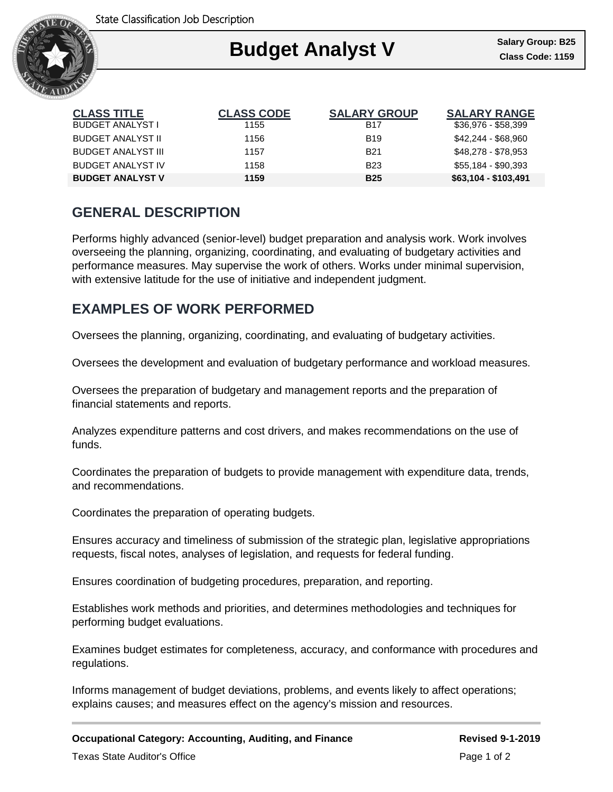

### Ι **Budget Analyst V Class Code: 1159**

| <b>CLASS TITLE</b>        | <b>CLASS CODE</b> | <b>SALARY GROUP</b> | <b>SALARY RANGE</b>  |
|---------------------------|-------------------|---------------------|----------------------|
| BUDGET ANALYST I          | 1155              | <b>B17</b>          | \$36,976 - \$58,399  |
| <b>BUDGET ANALYST II</b>  | 1156              | <b>B19</b>          | \$42,244 - \$68,960  |
| <b>BUDGET ANALYST III</b> | 1157              | <b>B21</b>          | \$48,278 - \$78,953  |
| <b>BUDGET ANALYST IV</b>  | 1158              | <b>B23</b>          | \$55,184 - \$90,393  |
| <b>BUDGET ANALYST V</b>   | 1159              | <b>B25</b>          | $$63,104 - $103,491$ |

# **GENERAL DESCRIPTION**

Performs highly advanced (senior-level) budget preparation and analysis work. Work involves overseeing the planning, organizing, coordinating, and evaluating of budgetary activities and performance measures. May supervise the work of others. Works under minimal supervision, with extensive latitude for the use of initiative and independent judgment.

## **EXAMPLES OF WORK PERFORMED**

Oversees the planning, organizing, coordinating, and evaluating of budgetary activities.

Oversees the development and evaluation of budgetary performance and workload measures.

Oversees the preparation of budgetary and management reports and the preparation of financial statements and reports.

Analyzes expenditure patterns and cost drivers, and makes recommendations on the use of funds.

Coordinates the preparation of budgets to provide management with expenditure data, trends, and recommendations.

Coordinates the preparation of operating budgets.

Ensures accuracy and timeliness of submission of the strategic plan, legislative appropriations requests, fiscal notes, analyses of legislation, and requests for federal funding.

Ensures coordination of budgeting procedures, preparation, and reporting.

Establishes work methods and priorities, and determines methodologies and techniques for performing budget evaluations.

Examines budget estimates for completeness, accuracy, and conformance with procedures and regulations.

Informs management of budget deviations, problems, and events likely to affect operations; explains causes; and measures effect on the agency's mission and resources.